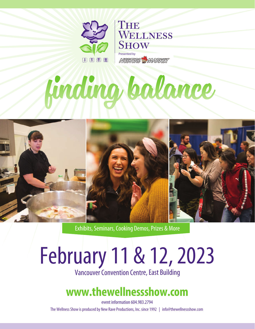

**SHOW** Presented by NESTERS AMARKET

WELLNESS

# Ending balance

THE



Exhibits, Seminars, Cooking Demos, Prizes & More

## February 11 & 12, 2023

Vancouver Convention Centre, East Building

## **www.thewellnessshow.com**

event information 604.983.2794 The Wellness Show is produced by New Rave Productions, Inc. since 1992 | info@thewellnessshow.com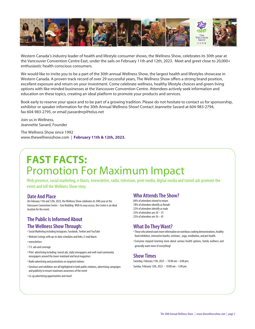

Western Canada's industry leader of health and lifestyle consumer shows, the Wellness Show, celebrates its 30th year at the Vancouver Convention Centre East, under the sails on February 11th and 12th, 2023. Meet and greet close to 20,000+ enthusiastic health conscious consumers.

We would like to invite you to be a part of the 30th annual Wellness Show, the largest health and lifestyles showcase in Western Canada. A proven track record of over 29 successful years, The Wellness Show offers a strong brand position, excellent exposure and return on your investment. Come celebrate wellness, healthy lifestyle choices and green living options with like-minded businesses at the Vancouver Convention Centre. Attendees actively seek information and education on these topics, creating an ideal platform to promote your products and services.

Book early to reserve your space and to be part of a growing tradition. Please do not hesitate to contact us for sponsorship, exhibitor or speaker information for the 30th Annual Wellness Show! Contact Jeannette Savard at 604-983-2794, fax 604-983-2795, or email jsavardnrp@telus.net

Join us in Wellness, Jeannette Savard, Founder

The Wellness Show since 1992 www.thewellnessshow.com | **February 11th & 12th, 2023.**

## **FAST FACTS:** Promotion For Maximum Impact

Web presence, social marketing, e-blasts, enewsletter, radio, television, print media, digital media and transit ads promote the event and tell the Wellness Show story.

#### **Date And Place**

On February 11th and 12th, 2023, the Wellness Show celebrates its 30th year at the Vancouver Convention Centre – East Building. With its easy access, the Centre is an ideal location for the event.

#### **The Public Is Informed About The Wellness Show Through:**

• Social Marketing including Instagram, Facebook, Twitter and YouTube

- Website Listings with up-to-date schedules and links, E-mail blasts
- enewsletters
- T.V. ads and coverage
- Print advertising including: transit ads, daily newspapers and well-read community newspapers around the lower mainland and local magazines
- Radio advertising and promotions on targeted stations
- Seminars and exhibitors are all highlighted in both public relations, advertising campaigns and publicity to ensure maximum awareness of the event
- Co-op advertising opportunities and more!

#### **Who Attends The Show?**

84% of attendees intend to return 78% of attendees identify as female 22% of attendees identify as male 25% of attendees are 26 – 35 25% of attendees are 36 – 45

#### **What Do They Want?**

- Those who attend want more information on nutritious cooking demonstrations, healthy food exhibitors, interactive booths, seminars, yoga, meditation, and pet health.
- Everyone enjoyed learning more about various health options, family wellness and generally want more of everything!

#### **Show Times**

Saturday, February 11th, 2023 – 10:00 am – 6:00 pm; Sunday, February 12th, 2023 – 10:00 am – 5:00 pm.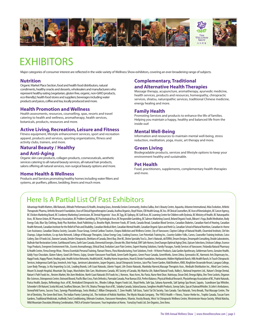

## **EXHIBITORS**

Major categories of consumer interest are reflected in the wide variety of Wellness Show exhibitors, covering an ever-broadening range of subjects.

#### **Nutrition**

Organic Market Place Section, food and health food distributors, natural condiments, healthy snacks and desserts, wholesalers and manufacturers who represent healthy eating (vegetarian, gluten free, organic, non-GMO products, eco-friendly); health food stores and suppliers; beverages including water products and juices, coffee and tea, locally produced and more.

#### **Health Promotion and Wellness**

Health assessments, resources, counselling, spas, resorts and travel catering to health and wellness, aromatherapy, health services, botanicals, products, resources and more.

#### **Active Living, Recreation, Leisure and Fitness**

Fitness equipment, lifestyle enhancement services, sport and recreation apparel, products and services, sporting organizations, fitness and activity clubs, trainers, and more.

#### **Natural Beauty / Healthy**

#### **and Anti-Aging**

Organic skin care products, collagen products, cosmeceuticals, aesthetic services catering to all natural beauty services, all natural hair products, salons offering all natural services, non-surgical beauty options and more.

#### **Home Health & Wellness**

Products and Services promoting healthy homes including water filters and systems, air purifiers, pillows, bedding, linens and much more.

#### **Complementary, Traditional and Alternative Health Therapies**

Massage therapy, acupuncture, aromatherapy, ayurvedic medicine, health services, products and resources, homeopathy, chiropractic services, shiatsu, naturopathic services, traditional Chinese medicine, energy healing and more.

#### **Family Health**

Promoting Services and products to enhance the life of families. Helping you maintain a happy, healthy and balanced life from the inside out!

#### **Mental Well-Being**

Information and resources to maintain mental well-being, stress reduction, meditation, yoga, music, art therapy and more.

#### **Green Living**

Biodegradable products, services and lifestyle options to keep your environment healthy and sustainable.

#### **Pet Health**

Food, practitioners, supplements, complementary health therapies and more.

### Here Is A Partial List Of Past Exhibitors

Advantage Health Matters, Albi Naturals, Altitude Performance & Health, Amazing Grass, Amendia Seniors Community, Andrea Saliba, Ann's Beauty Centre, Aquavita, Arbonne International, Atlas Evolution, Athletic Therapeutic Pharma, Arthritis Research Foundation, Assn of Clinical Hypnotherapists Canada, Avafina Organics, Boyd Vision, CBI Health Group, BC Ass. Of Clinical Counsellors, BC Assn of Kinesiologists, BC Cancer Agency, BC Chicken Marketing Board, BC Cranberry Marketing Commission, BC Dontal Hygenists' Assn, BC Egg, BC Epilepsy, BC Golf Assn, BC Learning Centre for Children with Dyslexia, BC Ministry of Health, BC Naturopathic Assn, BC Nurses Union, BC Pharmacy Association, BC Problem Gambling, BC Psychological Assn, BC Responsible Gambling, BC Salmon Marketing Council, Beland Organic Foods, Bikram's Yoga, Bodhi Meditation, Body Energy Club, Blue Sky Clothing, Body Plus Nutrition, Book Publishing Co, Breathe Right, Bremner Foods, BT Seeds, Canada Bread, Canadia Blood Services, Canadian Diabetes, Canadian Hard of Hearing, Canadian Health Network, Canadian Institute for the Relief of Pain and Disability, Canadian Medical Alert, Canadian Mental Health, Canadian Organic Spice and Herb Co, Canadian School of Natural Nutrition, Canadian In-Home Care Assistance, Canadian Shiatsu Society, Cascades Tissue Group, Central Cariboo Tourism, Chopra Addiction and Wellness Center, City of Vancouver, Clayton College of Natural Health, Clearmind Institute, Clef des Champs, Colgan Institute, Co-op Auto Network, College of Massage Therapists, Colour Energy Corp, Cooking Essence, Core Potentials Training Inc., Country Golden Yolks, Curves, Counsellor Training Institute, Cutco Cutlery, Dan-D Foods Ltd., Danone Canada, Detzler Chiropractic, Dietitians of Canada, Direct Buy, Dive BC, Divine Specialty Tea Co., Dom's Naturals, doTERRA, Dream Designs, Dreampath Consulting, Druide Laboratories, DuBrule Hair Restoration Center, Earthbound Farms, Earth Save Canada, Elemental Energies, Elevate Me, Elixir Herbal, EMF Safe Homes, EnerChanges Optimal Aging Clinic, Epicure Selections, Erickson College, Essence Yoga Products, Evergreen Environment Fdn., Escents Aromatherapy, Ethical Deal, Evolution Laser Pain Centres, Expert Hearing Solutions, Family Passages, Family Services of Vancouver, Finlandia Natural Pharmacy & Health Centre, Firma Energy Wear, Fitness Essentials Personal Training, Flaman Fitness, Flora Manufacturing, Foot Solutions, Fresh -N Home Products, Gaia Garden Apothecary, Gelderman Farms, Genuine Health, Giddy Yoyo Chocolate, Gluten Fakery, Good Life Fitness, Gojoy, Greater Vancouver Food Bank, Green Earth Organics, Green Peace Canada, GreenWorks, Green Zebra, Gymnastics BC, Harmonic Arts Dispensary Inc., Happi Foods, Happy Planet, Healing Jade, Health Action Networks, HealthLink BC, Healthy Home Inspections, Heart & Stroke Foundation, Herbasante, Hidden Highlands Ranch, Hills Health Ranch, In Touch Chiropractic Services, Indegenous Earth Spa, Innotech, Into Yoga, Jamieson Laboratories, Jasper Organics, Jassal Chiropractic Services, Juice Plus Tower Garden, Kidd Brothers, KNIX, Kingfisher Oceanside Resort, Langara College, Laser Body Therapy, Le Kiu Importing Co.Ltd., Leading Brands, Left Coast Naturals, Liberte Yogurt, Life Choice Naturals, Manitoba Harvest, Massage Therapists Assn., Medisafe Distribution Inc., Mind Care Centres, Mount St.Joseph Hospital, Mountain Sky Soaps, Munchskins Skin Care, Mushrooms Canada, MS Society of Canada, My Matcha Life, Naked Natural Foods, Nalley's, National Importers Ltd., Nature's Design Dental, Nature's Path Foods Inc., Nesters Market, Nin Jiom Medicine, North Coast Naturals (Fit Foods Inc.), Norwex, Nuez Acres, Nu-Pasta, Nurse Next Door, Nutrisoya, Ocean Deli, Omega Alpha, One Time Lockets, Organon Bio-Sciences, Osteoporosis Centre, Outward Bound, Pacific Blue Cross, Paris Orthotics, Parmalat Canada, Pear Bureau USA, Perfect Balance, Physical Medical Research, Physiotherapy Association of BC, Prairie Naturals, Purica Health, Quejos, Reflexology Assn. of BC, Revitalized Chiropractic Inc., Rhodes College, Rogers Foods Ltd., Royal Herbs, Safe Spa, Sahana Ayurvedic, Salt Springs Spa Resort, Saputo, Scandinave Spa Whistler, Schneider's Oh Naturel, Scotia McLeod, Seaflora Skincare, She's Fit, Shiatsu Therapy Assn of BC, Soladey Canada, SolarusSaunas, Songlines Health Products, Sonray Sales, Spa at ChateauWhistler, St.John's Ambulance, StoneyField Farms, Success Tracs, Synergy Physiotherapy, Swiss Medica,T. Killian Chiropractic, T. Zone Health, Tall Grass, Taoist Tai Chi Society, Tara Canada. Tara Naturals, Terra Breads, Thai Massage Centre, The Art of Dentistry, The Green Bed Store, The Indian Pantry Catering Ltd., The Institute of Holistic Nutrition, The Mystic Masala Company, The YWCA Health + Fitness, Transe-Herbe Inc., Trophic Canada, Tuscan Farm Gardens, Traditional Medicinals, truMedic,Twist Conditioning, Ultimate Creations, Vancouver Honeybees, Vitamix, Vossity Beauty, West 1st Chiropractic Wellness Centre, Westminster House Society, Whisk Matcha, Wild Mountain Chocolate,Winning Combination, YMCA of Greater Vancouver, Your Inspiration at Home, YumaSoy Foods Ltd. Zen Organics, Zero Xeno.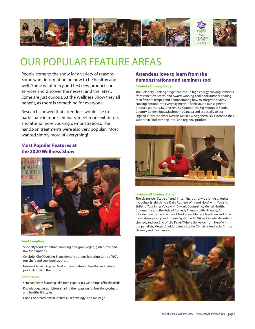

## OUR POPULAR FEATURE AREAS

People come to the show for a variety of reasons. Some want information on how to be healthy and well. Some want to try and test new products or services and discover the newest and the latest. Some are just curious. At the Wellness Show they all benefit, as there is something for everyone.

Research showed that attendees would like to participate in more seminars, meet more exhibitors and attend more cooking demonstrations. The hands-on treatments were also very popular. Most wanted simply more of everything!

#### **Most Popular Features at the 2020 Wellness Show**



#### **Food Sampling**

- Specialty food exhibitors sampling non-gmo, vegan, gluten-free and raw food options
- Celebrity Chef Cooking Stage demonstrations featuring some of BC's top chefs and cookbook authors
- Nesters Market Organic Marketplace featuring healthy and natural products sold in their stores

#### **Information**

- Seminars Series featuring talks from experts in a wide range of health fields
- Knowledgeable exhibitors sharing their passion for healthy products and healthy lifestyles
- Hands-on treatments like shiatsu, reflexology, and massage

#### **Attendees love to learn from the demonstrations and seminars too!**

#### **Celebrity Cooking Stage**

The Celebrity Cooking Stage featured 14 high energy cooking seminars from Vancouver chefs, and Award-winning cookbook authors, sharing their favorite recipes and demonstrating how to integrate healthy cooking options into everyday meals. Thank you to our segment product sponsors, BC Chicken, BC Cranberries, Big Mountain Foods, Country Golden Eggs, Mushrooms Canada and especially to our Organic Grocer sponsor Nesters Market, who generously extended their support in kind with top local and regional product.



#### **Living Well Seminar Stage**

The Living Well Stage offered 11 seminars on a wide range of topics including Establishing a Daily Routine: Why and How? with Yoga fit; Shifting Your Inner Voice with Skylark Counseling; Mental Health, Community, and the Role of Comedy Therapy with Hilarapy; An introduction to the Practice of Traditional Chinese Medicine and How it can strengthen your Immune System with Nikkei Canada Marketing Limited; and our End of Life Panel "Where do we go from Here" with our panelists, Megan Sheldon, Emily Bootle, Christina Andreola, Christa Ovenell, and much more.

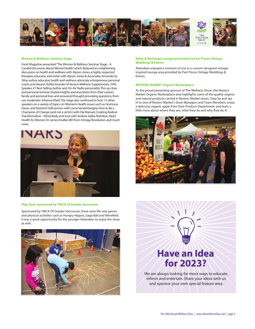

#### **Women & Wellness Seminar Stage**

Fresh Magazine presented "The Women & Wellness Seminar Stage - A Candid Discussion about Mental Health", which featured an enlightening discussion on health and wellness with Alyson Jones, a highly respected therapist, educator, and writer with Alyson Jones & Associates, Amanda Da Silva, author, educator, health and wellness advocate, entrepreneur, personal coach, and Aeryon Ashlie, founder of Aeryon Wellness Supplements, CHN, Speaker, #1 Best Selling Author and On-Air Radio personality. This up close and personal seminar shared insights and anecdotes from their careers, family and personal lives and answered thought provoking questions, from our moderator Johanna Ward. The stage also continued to host 13 other speakers on a variety of topics on Women's Health issues such as Hormone Havoc and Nutrient Deficiencies with Lorna Vanderhaeghe, How to Be a Champion of Change (and not a victim) with Dai Manuel, Creating Radical Transformation - Mind, Body and Soul with Andrea Saliba Nutrition, Heart Health for Women Dr. James Kneller, MD from Omega Revolution, and much more



#### **Play Zone sponsored by YMCA of Greater Vancouver**

Sponsored by YMCA Of Greater Vancouver, there were life-size games and physical activities such as Hungry Hippos, Gaga Ball and Minefield. It was a great opportunity for the younger Attendees to enjoy the show as well.



#### **Relax & Recharge Lounge presented by Past Pieces Vintage Weddings & Events**

Attendees enjoyed a moment of rest in a custom-designed vintageinspired lounge area provided by Past Pieces Vintage Weddings & Events.

#### **NESTERS MARKET Organic Marketplace**

As the proud presenting sponsor of The Wellness Show, the Nesters Market Organic Marketplace area highlights some of the quality organic and natural products carried in Nesters Market stores. Stop by and say hi to one of Nesters Market's Store Managers and Team Members, enjoy a delicious organic apple from their Produce Department, and learn a little more about where they are, what they do and why they do it!



## **Have an Idea for 2023?**

We are always looking for more ways to educate, inform and entertain. Share your ideas with us and sponsor your own special feature area.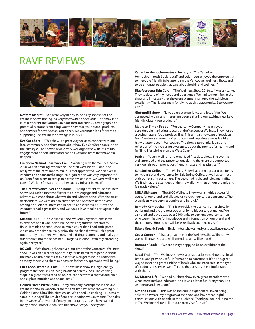

## RAVE REVIEWS



**Nesters Market** – "We were very happy to be a key sponsor of The Wellness Show, finding it a very worthwhile endeavour. The show is an excellent event that attracts an educated and curious demographic of potential customers enabling you to showcase your brand, products and services for over 20,000 attendees. We very much look forward to supporting The Wellness Show again in 2021.

**Evo Car Share** – "This show is a great way for us to connect with our local community and share more about how Evo Car Share can support their lifestyle. The show is always very well organized with lots of fun engagement opportunities and has an awesome team that make it all happen!"

**Finlandia Natural Pharmacy Co. – "**Working with the Wellness Show 2020 was an amazing experience. The staff were helpful, kind, and really went the extra mile to make us feel appreciated. We had over 10 vendors and sponsored a stage, so organization was very important to us. From floor plans to set up to post show statistics, we were well taken care of. We look forward to another successful year in 2021!"

**The Greater Vancouver Food Bank –** "Being present at The Wellness Show was such a fun time. We were able to engage and educate a relevant audience about what we do and who we serve. With the array of attendees, we were able to create brand awareness at the event among an audience interested in health and wellness. Our staff and volunteers had a great time, and we would love to take part again in the future."

**Mindful FUD –** "The Wellness Show was our very first trade show experience and it was incredible! So well organized from start to finish, it made the experience so much easier than I had anticipated which gave me time to really enjoy the weekend! It was such a great opportunity to connect with new and existing customers and really get our product into the hands of our target audience. Definitely attending again next year!"

**BC Golf – "**We thoroughly enjoyed out time at the Vancouver Wellness show. It was an excellent opportunity for us to talk with people about the many health benefits of our sport as well get to be in a room with so many others who share our passion for health, sport, and well-being."

**Chef Todd, Water St. Café – "**The Wellness show is a high energy program that focuses on living balanced healthy lives, The cooking stage is a great resource to be able to connect with a captive audience and explore nutrition and share ideas."

**Golden Home Pizza Crusts – "**My company participated in the 2020 Wellness show in Vancouver for the first time.We were showcasing our Golden Home Ultra Thin pizza crusts. We ended up cooking 111 pizza to sample in 2 days! The result of our participation was awesome! The sales in the weeks after were definitely encouraging and we have gained many new customers thanks to this show! See you next year!"

**Canadian Hemochromatosis Society – "**The Canadian Hemochromatosis Society staff and volunteers enjoyed the opportunity to meet the friendly folks attending the Vancouver Wellness Show, and to be amongst people that care about health and wellness. "

**Blue Verbena Skin Care – "**The Wellness Show 2019 staff was amazing. They took care of my needs and questions :) We had so much fun at the show and I must say that the event planner managed the exhibitors excellently! Thank you again for giving us this opportunity. See you next year!"

**Glutenull Bakery – "**It was a great experience and lots of fun! We connected with many interesting people sharing our exciting new keto friendly gluten-free products!"

**Maureen Simon Foods – "**For years, my Company has enjoyed considerable marketing success at the Vancouver Wellness Show for our growing natural food products line. This annual showcase of products from "wellness community" producers and suppliers always is a big hit with attendees in Vancouver. The show's popularity is a strong reflection of the increasing awareness about the merits of a healthy and fulfilling lifestyle here on the West Coast."

**Purica – "**A very well run and organized first class show. The event is well attended and the presentations during the event are supported very well through promotion, friendly hosts and helpful staff."

**Salt Spring Coffee – "**The Wellness Show has been a great place for us to increase brand awareness for Salt Spring Coffee, as well as connect with our existing customers. The show had high, and relevant, traffic. We find that the attendees of the show align with us on our organic and fair trade values."

**NENA Skincare –** "The 2020 Wellness Show was a highly successful event for our brand and allowed us to reach our target consumers. The organizers were very responsive and helpful."

**Remedy Kombucha – "**This is probably the best consumer show for our brand and the greatest opportunity to hit our target market! We sampled and gave away over 2100 units to very engaged consumers who were thirsting for knowledge and information on our brand and the category. Hoping we will be asked back again next year"

**Beland Organic Foods** – "This is my best show annually and excellent exposure."

**Coast Copper** – "I had a great time at the Wellness Show. The show was well organized and well attended. We will be back!"

**Bremner Foods** – "We are always happy to be an exhibitor at the show!"

**Sabai Thai** – "The Wellness Show is a great platform to showcase local brands and provide useful information to consumers. It's also a great way to meet and greet a niche of locals who are interested in the type of products or services we offer and thus create a meaningful rapport with them."

**My Matcha Life** – "We had our best show ever, great attendees who were interested and educated, and it was a lot of fun. Many thanks to Jeannette and her team!"

**Simone Lovell** – "This was an incredible experience! I loved being able to showcase my program at the show and have meaningful conversations with people in the audience. Thank you for including me in The Wellness show!! I'll be back next year for sure"